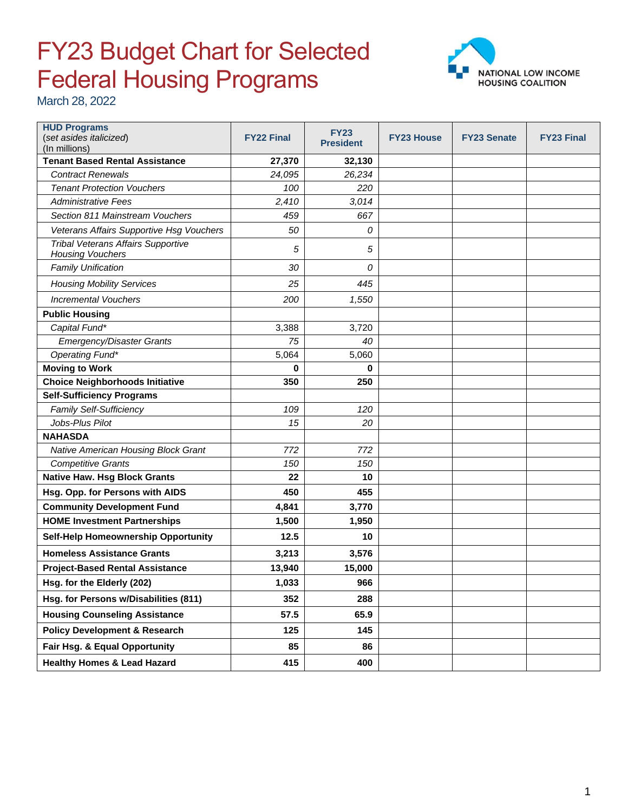## FY23 Budget Chart for Selected Federal Housing Programs



March 28, 2022

| <b>HUD Programs</b><br>(set asides italicized)                       | <b>FY22 Final</b> | <b>FY23</b><br><b>President</b> | <b>FY23 House</b> | <b>FY23 Senate</b> | <b>FY23 Final</b> |
|----------------------------------------------------------------------|-------------------|---------------------------------|-------------------|--------------------|-------------------|
| (In millions)<br><b>Tenant Based Rental Assistance</b>               | 27,370            | 32,130                          |                   |                    |                   |
| <b>Contract Renewals</b>                                             | 24,095            | 26,234                          |                   |                    |                   |
| <b>Tenant Protection Vouchers</b>                                    | 100               | 220                             |                   |                    |                   |
| <b>Administrative Fees</b>                                           | 2,410             | 3,014                           |                   |                    |                   |
| Section 811 Mainstream Vouchers                                      | 459               | 667                             |                   |                    |                   |
| Veterans Affairs Supportive Hsg Vouchers                             | 50                | 0                               |                   |                    |                   |
| <b>Tribal Veterans Affairs Supportive</b><br><b>Housing Vouchers</b> | 5                 | 5                               |                   |                    |                   |
| <b>Family Unification</b>                                            | 30                | 0                               |                   |                    |                   |
| <b>Housing Mobility Services</b>                                     | 25                | 445                             |                   |                    |                   |
| <b>Incremental Vouchers</b>                                          | 200               | 1,550                           |                   |                    |                   |
| <b>Public Housing</b>                                                |                   |                                 |                   |                    |                   |
| Capital Fund*                                                        | 3,388             | 3,720                           |                   |                    |                   |
| <b>Emergency/Disaster Grants</b>                                     | 75                | 40                              |                   |                    |                   |
| Operating Fund*                                                      | 5,064             | 5,060                           |                   |                    |                   |
| <b>Moving to Work</b>                                                | 0                 | 0                               |                   |                    |                   |
| <b>Choice Neighborhoods Initiative</b>                               | 350               | 250                             |                   |                    |                   |
| <b>Self-Sufficiency Programs</b>                                     |                   |                                 |                   |                    |                   |
| <b>Family Self-Sufficiency</b>                                       | 109               | 120                             |                   |                    |                   |
| Jobs-Plus Pilot                                                      | 15                | 20                              |                   |                    |                   |
| <b>NAHASDA</b>                                                       |                   |                                 |                   |                    |                   |
| Native American Housing Block Grant                                  | 772               | 772                             |                   |                    |                   |
| <b>Competitive Grants</b>                                            | 150               | 150                             |                   |                    |                   |
| <b>Native Haw. Hsg Block Grants</b>                                  | 22                | 10                              |                   |                    |                   |
| Hsg. Opp. for Persons with AIDS                                      | 450               | 455                             |                   |                    |                   |
| <b>Community Development Fund</b>                                    | 4,841             | 3,770                           |                   |                    |                   |
| <b>HOME Investment Partnerships</b>                                  | 1,500             | 1,950                           |                   |                    |                   |
| Self-Help Homeownership Opportunity                                  | 12.5              | 10                              |                   |                    |                   |
| <b>Homeless Assistance Grants</b>                                    | 3,213             | 3,576                           |                   |                    |                   |
| <b>Project-Based Rental Assistance</b>                               | 13,940            | 15,000                          |                   |                    |                   |
| Hsg. for the Elderly (202)                                           | 1,033             | 966                             |                   |                    |                   |
| Hsg. for Persons w/Disabilities (811)                                | 352               | 288                             |                   |                    |                   |
| <b>Housing Counseling Assistance</b>                                 | 57.5              | 65.9                            |                   |                    |                   |
| <b>Policy Development &amp; Research</b>                             | 125               | 145                             |                   |                    |                   |
| Fair Hsg. & Equal Opportunity                                        | 85                | 86                              |                   |                    |                   |
| <b>Healthy Homes &amp; Lead Hazard</b>                               | 415               | 400                             |                   |                    |                   |